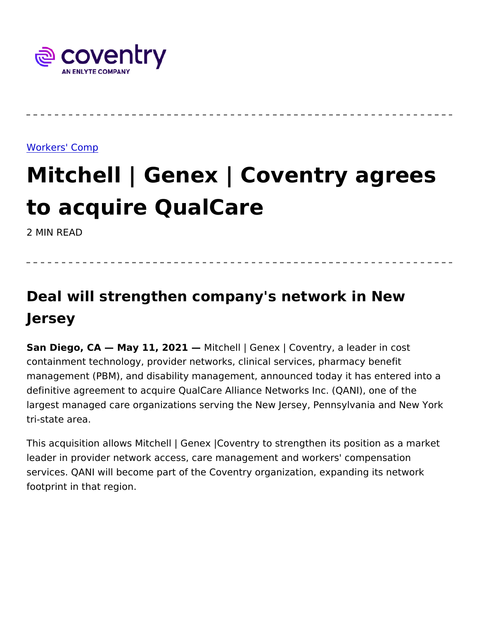## [Workers' C](https://www.coventrywcs.com/insights/workers-comp)omp

## Mitchell | Genex | Coventry ag to acquire QualCare

2 MIN READ

Deal will strengthen company's network in New Jersey

San Diego, CA May 11, 20/21 fchell | Genex | Coventry, a leader in containment technology, provider networks, clinical services, pharm management (PBM), and disability management, announced today it definitive agreement to acquire QualCare Alliance Networks Inc. (Q largest managed care organizations serving the New Jersey, Pennsy tri-state area.

This acquisition allows Mitchell | Genex | Coventry to strengthen its leader in provider network access, care management and workers' c services. QANI will become part of the Coventry organization, expa footprint in that region.